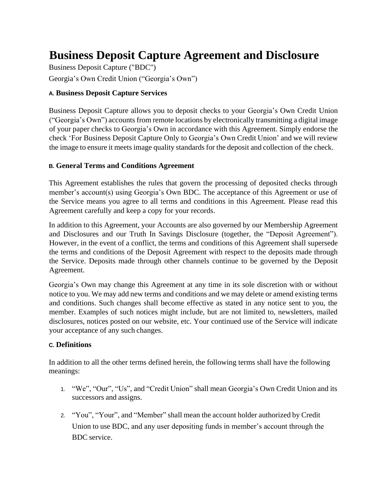# **Business Deposit Capture Agreement and Disclosure**

Business Deposit Capture ("BDC") Georgia's Own Credit Union ("Georgia's Own")

#### **A. Business Deposit Capture Services**

Business Deposit Capture allows you to deposit checks to your Georgia's Own Credit Union ("Georgia's Own") accounts from remote locations by electronically transmitting a digital image of your paper checks to Georgia's Own in accordance with this Agreement. Simply endorse the check 'For Business Deposit Capture Only to Georgia's Own Credit Union' and we will review the image to ensure it meets image quality standards for the deposit and collection of the check.

#### **B. General Terms and Conditions Agreement**

This Agreement establishes the rules that govern the processing of deposited checks through member's account(s) using Georgia's Own BDC. The acceptance of this Agreement or use of the Service means you agree to all terms and conditions in this Agreement. Please read this Agreement carefully and keep a copy for your records.

In addition to this Agreement, your Accounts are also governed by our Membership Agreement and Disclosures and our Truth In Savings Disclosure (together, the "Deposit Agreement"). However, in the event of a conflict, the terms and conditions of this Agreement shall supersede the terms and conditions of the Deposit Agreement with respect to the deposits made through the Service. Deposits made through other channels continue to be governed by the Deposit Agreement.

Georgia's Own may change this Agreement at any time in its sole discretion with or without notice to you. We may add new terms and conditions and we may delete or amend existing terms and conditions. Such changes shall become effective as stated in any notice sent to you, the member. Examples of such notices might include, but are not limited to, newsletters, mailed disclosures, notices posted on our website, etc. Your continued use of the Service will indicate your acceptance of any such changes.

#### **C. Definitions**

In addition to all the other terms defined herein, the following terms shall have the following meanings:

- 1. "We", "Our", "Us", and "Credit Union" shall mean Georgia's Own Credit Union and its successors and assigns.
- 2. "You", "Your", and "Member" shall mean the account holder authorized by Credit Union to use BDC, and any user depositing funds in member's account through the BDC service.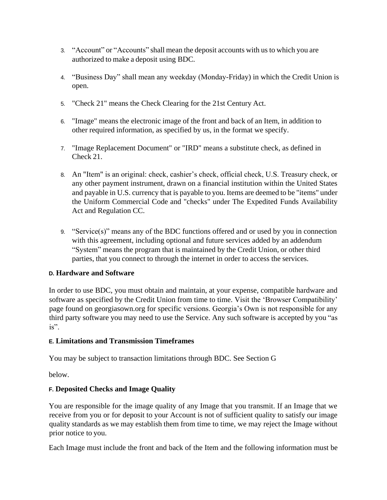- 3. "Account" or "Accounts" shall mean the deposit accounts with us to which you are authorized to make a deposit using BDC.
- 4. "Business Day" shall mean any weekday (Monday-Friday) in which the Credit Union is open.
- 5. "Check 21" means the Check Clearing for the 21st Century Act.
- 6. "Image" means the electronic image of the front and back of an Item, in addition to other required information, as specified by us, in the format we specify.
- 7. "Image Replacement Document" or "IRD" means a substitute check, as defined in Check 21.
- 8. An "Item" is an original: check, cashier's check, official check, U.S. Treasury check, or any other payment instrument, drawn on a financial institution within the United States and payable in U.S. currency that is payable to you. Items are deemed to be "items" under the Uniform Commercial Code and "checks" under The Expedited Funds Availability Act and Regulation CC.
- 9. "Service(s)" means any of the BDC functions offered and or used by you in connection with this agreement, including optional and future services added by an addendum "System" means the program that is maintained by the Credit Union, or other third parties, that you connect to through the internet in order to access the services.

#### **D. Hardware and Software**

In order to use BDC, you must obtain and maintain, at your expense, compatible hardware and software as specified by the Credit Union from time to time. Visit the 'Browser Compatibility' page found on georgiasown.org for specific versions. Georgia's Own is not responsible for any third party software you may need to use the Service. Any such software is accepted by you "as is".

#### **E. Limitations and Transmission Timeframes**

You may be subject to transaction limitations through BDC. See Section G

below.

# **F. Deposited Checks and Image Quality**

You are responsible for the image quality of any Image that you transmit. If an Image that we receive from you or for deposit to your Account is not of sufficient quality to satisfy our image quality standards as we may establish them from time to time, we may reject the Image without prior notice to you.

Each Image must include the front and back of the Item and the following information must be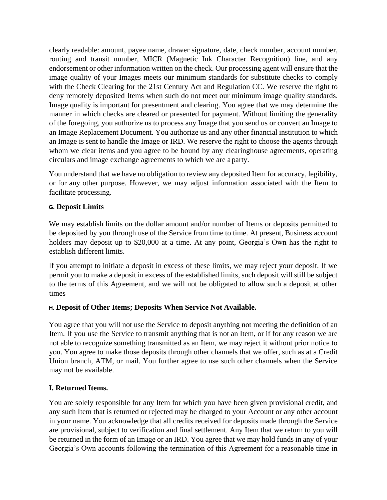clearly readable: amount, payee name, drawer signature, date, check number, account number, routing and transit number, MICR (Magnetic Ink Character Recognition) line, and any endorsement or other information written on the check. Our processing agent will ensure that the image quality of your Images meets our minimum standards for substitute checks to comply with the Check Clearing for the 21st Century Act and Regulation CC. We reserve the right to deny remotely deposited Items when such do not meet our minimum image quality standards. Image quality is important for presentment and clearing. You agree that we may determine the manner in which checks are cleared or presented for payment. Without limiting the generality of the foregoing, you authorize us to process any Image that you send us or convert an Image to an Image Replacement Document. You authorize us and any other financial institution to which an Image is sent to handle the Image or IRD. We reserve the right to choose the agents through whom we clear items and you agree to be bound by any clearinghouse agreements, operating circulars and image exchange agreements to which we are a party.

You understand that we have no obligation to review any deposited Item for accuracy, legibility, or for any other purpose. However, we may adjust information associated with the Item to facilitate processing.

#### **G. Deposit Limits**

We may establish limits on the dollar amount and/or number of Items or deposits permitted to be deposited by you through use of the Service from time to time. At present, Business account holders may deposit up to \$20,000 at a time. At any point, Georgia's Own has the right to establish different limits.

If you attempt to initiate a deposit in excess of these limits, we may reject your deposit. If we permit you to make a deposit in excess of the established limits, such deposit will still be subject to the terms of this Agreement, and we will not be obligated to allow such a deposit at other times

#### **H. Deposit of Other Items; Deposits When Service Not Available.**

You agree that you will not use the Service to deposit anything not meeting the definition of an Item. If you use the Service to transmit anything that is not an Item, or if for any reason we are not able to recognize something transmitted as an Item, we may reject it without prior notice to you. You agree to make those deposits through other channels that we offer, such as at a Credit Union branch, ATM, or mail. You further agree to use such other channels when the Service may not be available.

#### **I. Returned Items.**

You are solely responsible for any Item for which you have been given provisional credit, and any such Item that is returned or rejected may be charged to your Account or any other account in your name. You acknowledge that all credits received for deposits made through the Service are provisional, subject to verification and final settlement. Any Item that we return to you will be returned in the form of an Image or an IRD. You agree that we may hold funds in any of your Georgia's Own accounts following the termination of this Agreement for a reasonable time in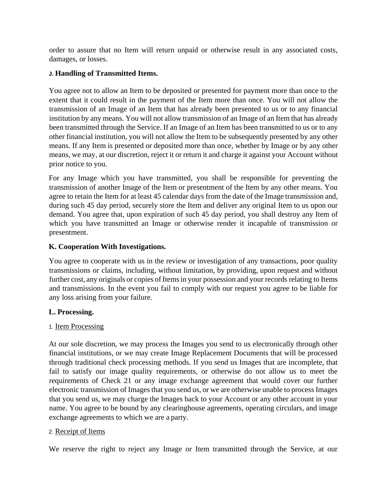order to assure that no Item will return unpaid or otherwise result in any associated costs, damages, or losses.

## **J. Handling of Transmitted Items.**

You agree not to allow an Item to be deposited or presented for payment more than once to the extent that it could result in the payment of the Item more than once. You will not allow the transmission of an Image of an Item that has already been presented to us or to any financial institution by any means. You will not allow transmission of an Image of an Item that has already been transmitted through the Service. If an Image of an Item has been transmitted to us or to any other financial institution, you will not allow the Item to be subsequently presented by any other means. If any Item is presented or deposited more than once, whether by Image or by any other means, we may, at our discretion, reject it or return it and charge it against your Account without prior notice to you.

For any Image which you have transmitted, you shall be responsible for preventing the transmission of another Image of the Item or presentment of the Item by any other means. You agree to retain the Item for at least 45 calendar days from the date of the Image transmission and, during such 45 day period, securely store the Item and deliver any original Item to us upon our demand. You agree that, upon expiration of such 45 day period, you shall destroy any Item of which you have transmitted an Image or otherwise render it incapable of transmission or presentment.

# **K. Cooperation With Investigations.**

You agree to cooperate with us in the review or investigation of any transactions, poor quality transmissions or claims, including, without limitation, by providing, upon request and without further cost, any originals or copies of Items in your possession and your records relating to Items and transmissions. In the event you fail to comply with our request you agree to be liable for any loss arising from your failure.

#### **L. Processing.**

#### 1. Item Processing

At our sole discretion, we may process the Images you send to us electronically through other financial institutions, or we may create Image Replacement Documents that will be processed through traditional check processing methods. If you send us Images that are incomplete, that fail to satisfy our image quality requirements, or otherwise do not allow us to meet the requirements of Check 21 or any image exchange agreement that would cover our further electronic transmission of Images that you send us, or we are otherwise unable to process Images that you send us, we may charge the Images back to your Account or any other account in your name. You agree to be bound by any clearinghouse agreements, operating circulars, and image exchange agreements to which we are a party.

#### 2. Receipt of Items

We reserve the right to reject any Image or Item transmitted through the Service, at our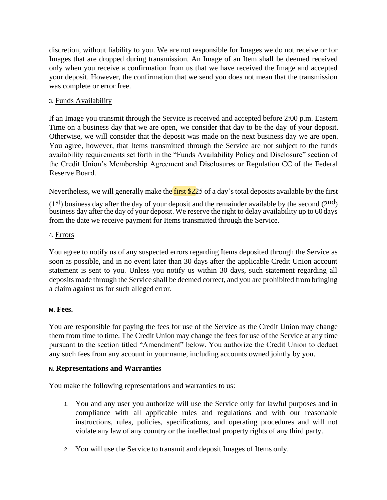discretion, without liability to you. We are not responsible for Images we do not receive or for Images that are dropped during transmission. An Image of an Item shall be deemed received only when you receive a confirmation from us that we have received the Image and accepted your deposit. However, the confirmation that we send you does not mean that the transmission was complete or error free.

#### 3. Funds Availability

If an Image you transmit through the Service is received and accepted before 2:00 p.m. Eastern Time on a business day that we are open, we consider that day to be the day of your deposit. Otherwise, we will consider that the deposit was made on the next business day we are open. You agree, however, that Items transmitted through the Service are not subject to the funds availability requirements set forth in the "Funds Availability Policy and Disclosure" section of the Credit Union's Membership Agreement and Disclosures or Regulation CC of the Federal Reserve Board.

Nevertheless, we will generally make the first \$225 of a day's total deposits available by the first

 $(1<sup>st</sup>)$  business day after the day of your deposit and the remainder available by the second  $(2<sup>nd</sup>)$ business day after the day of your deposit. We reserve the right to delay availability up to 60 days from the date we receive payment for Items transmitted through the Service.

#### 4. Errors

You agree to notify us of any suspected errors regarding Items deposited through the Service as soon as possible, and in no event later than 30 days after the applicable Credit Union account statement is sent to you. Unless you notify us within 30 days, such statement regarding all deposits made through the Service shall be deemed correct, and you are prohibited from bringing a claim against us for such alleged error.

#### **M. Fees.**

You are responsible for paying the fees for use of the Service as the Credit Union may change them from time to time. The Credit Union may change the fees for use of the Service at any time pursuant to the section titled "Amendment" below. You authorize the Credit Union to deduct any such fees from any account in your name, including accounts owned jointly by you.

#### **N. Representations and Warranties**

You make the following representations and warranties to us:

- 1. You and any user you authorize will use the Service only for lawful purposes and in compliance with all applicable rules and regulations and with our reasonable instructions, rules, policies, specifications, and operating procedures and will not violate any law of any country or the intellectual property rights of any third party.
- 2. You will use the Service to transmit and deposit Images of Items only.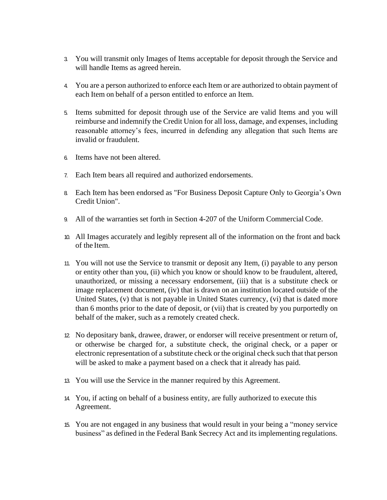- 3. You will transmit only Images of Items acceptable for deposit through the Service and will handle Items as agreed herein.
- 4. You are a person authorized to enforce each Item or are authorized to obtain payment of each Item on behalf of a person entitled to enforce an Item.
- 5. Items submitted for deposit through use of the Service are valid Items and you will reimburse and indemnify the Credit Union for all loss, damage, and expenses, including reasonable attorney's fees, incurred in defending any allegation that such Items are invalid or fraudulent.
- 6. Items have not been altered.
- 7. Each Item bears all required and authorized endorsements.
- 8. Each Item has been endorsed as "For Business Deposit Capture Only to Georgia's Own Credit Union".
- 9. All of the warranties set forth in Section 4-207 of the Uniform Commercial Code.
- 10. All Images accurately and legibly represent all of the information on the front and back of the Item.
- 11. You will not use the Service to transmit or deposit any Item, (i) payable to any person or entity other than you, (ii) which you know or should know to be fraudulent, altered, unauthorized, or missing a necessary endorsement, (iii) that is a substitute check or image replacement document, (iv) that is drawn on an institution located outside of the United States, (v) that is not payable in United States currency, (vi) that is dated more than 6 months prior to the date of deposit, or (vii) that is created by you purportedly on behalf of the maker, such as a remotely created check.
- 12. No depositary bank, drawee, drawer, or endorser will receive presentment or return of, or otherwise be charged for, a substitute check, the original check, or a paper or electronic representation of a substitute check or the original check such that that person will be asked to make a payment based on a check that it already has paid.
- 13. You will use the Service in the manner required by this Agreement.
- 14. You, if acting on behalf of a business entity, are fully authorized to execute this Agreement.
- 15. You are not engaged in any business that would result in your being a "money service business" as defined in the Federal Bank Secrecy Act and its implementing regulations.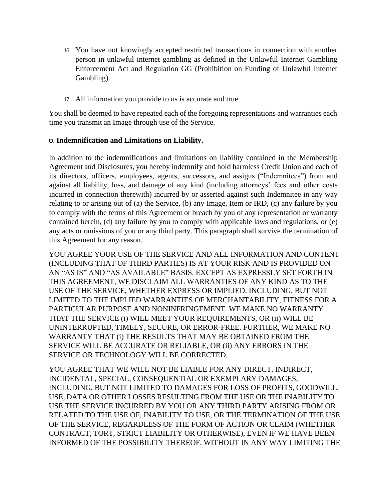- 16. You have not knowingly accepted restricted transactions in connection with another person in unlawful internet gambling as defined in the Unlawful Internet Gambling Enforcement Act and Regulation GG (Prohibition on Funding of Unlawful Internet Gambling).
- 17. All information you provide to us is accurate and true.

You shall be deemed to have repeated each of the foregoing representations and warranties each time you transmit an Image through use of the Service.

#### **O. Indemnification and Limitations on Liability.**

In addition to the indemnifications and limitations on liability contained in the Membership Agreement and Disclosures, you hereby indemnify and hold harmless Credit Union and each of its directors, officers, employees, agents, successors, and assigns ("Indemnitees") from and against all liability, loss, and damage of any kind (including attorneys' fees and other costs incurred in connection therewith) incurred by or asserted against such Indemnitee in any way relating to or arising out of (a) the Service, (b) any Image, Item or IRD, (c) any failure by you to comply with the terms of this Agreement or breach by you of any representation or warranty contained herein, (d) any failure by you to comply with applicable laws and regulations, or (e) any acts or omissions of you or any third party. This paragraph shall survive the termination of this Agreement for any reason.

YOU AGREE YOUR USE OF THE SERVICE AND ALL INFORMATION AND CONTENT (INCLUDING THAT OF THIRD PARTIES) IS AT YOUR RISK AND IS PROVIDED ON AN "AS IS" AND "AS AVAILABLE" BASIS. EXCEPT AS EXPRESSLY SET FORTH IN THIS AGREEMENT, WE DISCLAIM ALL WARRANTIES OF ANY KIND AS TO THE USE OF THE SERVICE, WHETHER EXPRESS OR IMPLIED, INCLUDING, BUT NOT LIMITED TO THE IMPLIED WARRANTIES OF MERCHANTABILITY, FITNESS FOR A PARTICULAR PURPOSE AND NONINFRINGEMENT. WE MAKE NO WARRANTY THAT THE SERVICE (i) WILL MEET YOUR REQUIREMENTS, OR (ii) WILL BE UNINTERRUPTED, TIMELY, SECURE, OR ERROR-FREE. FURTHER, WE MAKE NO WARRANTY THAT (i) THE RESULTS THAT MAY BE OBTAINED FROM THE SERVICE WILL BE ACCURATE OR RELIABLE, OR (ii) ANY ERRORS IN THE SERVICE OR TECHNOLOGY WILL BE CORRECTED.

YOU AGREE THAT WE WILL NOT BE LIABLE FOR ANY DIRECT, INDIRECT, INCIDENTAL, SPECIAL, CONSEQUENTIAL OR EXEMPLARY DAMAGES, INCLUDING, BUT NOT LIMITED TO DAMAGES FOR LOSS OF PROFITS, GOODWILL, USE, DATA OR OTHER LOSSES RESULTING FROM THE USE OR THE INABILITY TO USE THE SERVICE INCURRED BY YOU OR ANY THIRD PARTY ARISING FROM OR RELATED TO THE USE OF, INABILITY TO USE, OR THE TERMINATION OF THE USE OF THE SERVICE, REGARDLESS OF THE FORM OF ACTION OR CLAIM (WHETHER CONTRACT, TORT, STRICT LIABILITY OR OTHERWISE), EVEN IF WE HAVE BEEN INFORMED OF THE POSSIBILITY THEREOF. WITHOUT IN ANY WAY LIMITING THE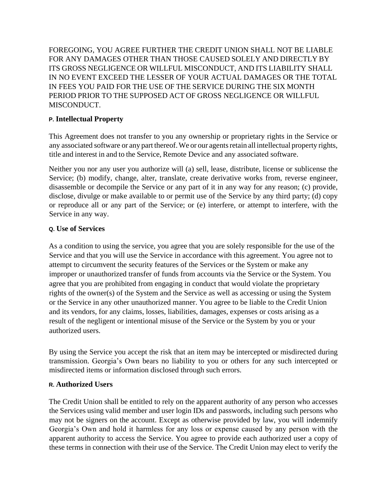FOREGOING, YOU AGREE FURTHER THE CREDIT UNION SHALL NOT BE LIABLE FOR ANY DAMAGES OTHER THAN THOSE CAUSED SOLELY AND DIRECTLY BY ITS GROSS NEGLIGENCE OR WILLFUL MISCONDUCT, AND ITS LIABILITY SHALL IN NO EVENT EXCEED THE LESSER OF YOUR ACTUAL DAMAGES OR THE TOTAL IN FEES YOU PAID FOR THE USE OF THE SERVICE DURING THE SIX MONTH PERIOD PRIOR TO THE SUPPOSED ACT OF GROSS NEGLIGENCE OR WILLFUL MISCONDUCT.

## **P. Intellectual Property**

This Agreement does not transfer to you any ownership or proprietary rights in the Service or any associated software or any part thereof. We or our agents retain all intellectual property rights, title and interest in and to the Service, Remote Device and any associated software.

Neither you nor any user you authorize will (a) sell, lease, distribute, license or sublicense the Service; (b) modify, change, alter, translate, create derivative works from, reverse engineer, disassemble or decompile the Service or any part of it in any way for any reason; (c) provide, disclose, divulge or make available to or permit use of the Service by any third party; (d) copy or reproduce all or any part of the Service; or (e) interfere, or attempt to interfere, with the Service in any way.

#### **Q. Use of Services**

As a condition to using the service, you agree that you are solely responsible for the use of the Service and that you will use the Service in accordance with this agreement. You agree not to attempt to circumvent the security features of the Services or the System or make any improper or unauthorized transfer of funds from accounts via the Service or the System. You agree that you are prohibited from engaging in conduct that would violate the proprietary rights of the owner(s) of the System and the Service as well as accessing or using the System or the Service in any other unauthorized manner. You agree to be liable to the Credit Union and its vendors, for any claims, losses, liabilities, damages, expenses or costs arising as a result of the negligent or intentional misuse of the Service or the System by you or your authorized users.

By using the Service you accept the risk that an item may be intercepted or misdirected during transmission. Georgia's Own bears no liability to you or others for any such intercepted or misdirected items or information disclosed through such errors.

#### **R. Authorized Users**

The Credit Union shall be entitled to rely on the apparent authority of any person who accesses the Services using valid member and user login IDs and passwords, including such persons who may not be signers on the account. Except as otherwise provided by law, you will indemnify Georgia's Own and hold it harmless for any loss or expense caused by any person with the apparent authority to access the Service. You agree to provide each authorized user a copy of these terms in connection with their use of the Service. The Credit Union may elect to verify the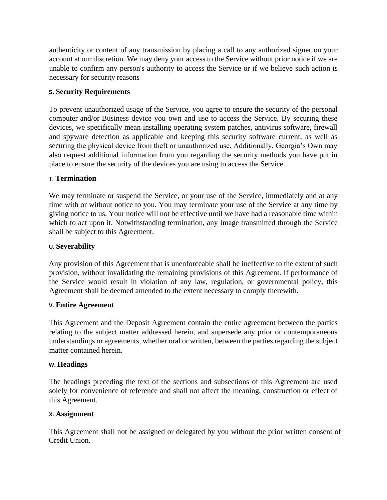authenticity or content of any transmission by placing a call to any authorized signer on your account at our discretion. We may deny your access to the Service without prior notice if we are unable to confirm any person's authority to access the Service or if we believe such action is necessary for security reasons

## **S. Security Requirements**

To prevent unauthorized usage of the Service, you agree to ensure the security of the personal computer and/or Business device you own and use to access the Service. By securing these devices, we specifically mean installing operating system patches, antivirus software, firewall and spyware detection as applicable and keeping this security software current, as well as securing the physical device from theft or unauthorized use. Additionally, Georgia's Own may also request additional information from you regarding the security methods you have put in place to ensure the security of the devices you are using to access the Service.

# **T. Termination**

We may terminate or suspend the Service, or your use of the Service, immediately and at any time with or without notice to you. You may terminate your use of the Service at any time by giving notice to us. Your notice will not be effective until we have had a reasonable time within which to act upon it. Notwithstanding termination, any Image transmitted through the Service shall be subject to this Agreement.

## **U. Severability**

Any provision of this Agreement that is unenforceable shall be ineffective to the extent of such provision, without invalidating the remaining provisions of this Agreement. If performance of the Service would result in violation of any law, regulation, or governmental policy, this Agreement shall be deemed amended to the extent necessary to comply therewith.

#### **V. Entire Agreement**

This Agreement and the Deposit Agreement contain the entire agreement between the parties relating to the subject matter addressed herein, and supersede any prior or contemporaneous understandings or agreements, whether oral or written, between the parties regarding the subject matter contained herein.

#### **W. Headings**

The headings preceding the text of the sections and subsections of this Agreement are used solely for convenience of reference and shall not affect the meaning, construction or effect of this Agreement.

#### **X. Assignment**

This Agreement shall not be assigned or delegated by you without the prior written consent of Credit Union.